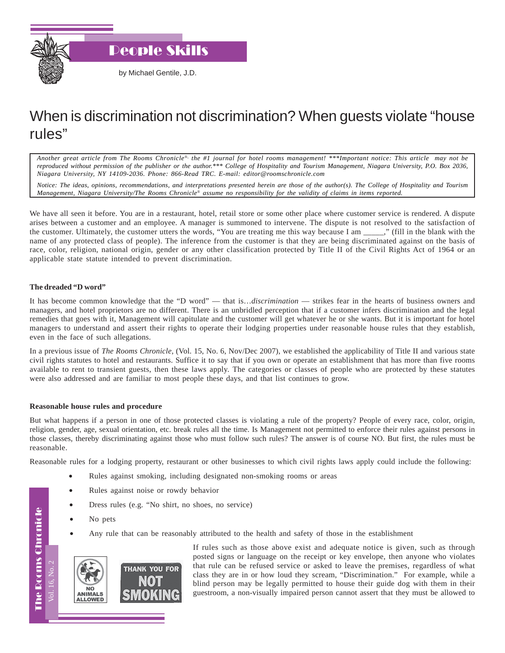

People Skills

by Michael Gentile, J.D.

## When is discrimination not discrimination? When guests violate "house rules"

*Another great article from The Rooms Chronicle*®*, the #1 journal for hotel rooms management! \*\*\*Important notice: This article may not be reproduced without permission of the publisher or the author.\*\*\* College of Hospitality and Tourism Management, Niagara University, P.O. Box 2036, Niagara University, NY 14109-2036. Phone: 866-Read TRC. E-mail: editor@roomschronicle.com*

*Notice: The ideas, opinions, recommendations, and interpretations presented herein are those of the author(s). The College of Hospitality and Tourism Management, Niagara University/The Rooms Chronicle*® *assume no responsibility for the validity of claims in items reported.*

We have all seen it before. You are in a restaurant, hotel, retail store or some other place where customer service is rendered. A dispute arises between a customer and an employee. A manager is summoned to intervene. The dispute is not resolved to the satisfaction of the customer. Ultimately, the customer utters the words, "You are treating me this way because I am \_\_\_\_\_," (fill in the blank with the name of any protected class of people). The inference from the customer is that they are being discriminated against on the basis of race, color, religion, national origin, gender or any other classification protected by Title II of the Civil Rights Act of 1964 or an applicable state statute intended to prevent discrimination.

## **The dreaded "D word"**

It has become common knowledge that the "D word" — that is…*discrimination* — strikes fear in the hearts of business owners and managers, and hotel proprietors are no different. There is an unbridled perception that if a customer infers discrimination and the legal remedies that goes with it, Management will capitulate and the customer will get whatever he or she wants. But it is important for hotel managers to understand and assert their rights to operate their lodging properties under reasonable house rules that they establish, even in the face of such allegations.

In a previous issue of *The Rooms Chronicle*, (Vol. 15, No. 6, Nov/Dec 2007), we established the applicability of Title II and various state civil rights statutes to hotel and restaurants. Suffice it to say that if you own or operate an establishment that has more than five rooms available to rent to transient guests, then these laws apply. The categories or classes of people who are protected by these statutes were also addressed and are familiar to most people these days, and that list continues to grow.

## **Reasonable house rules and procedure**

But what happens if a person in one of those protected classes is violating a rule of the property? People of every race, color, origin, religion, gender, age, sexual orientation, etc. break rules all the time. Is Management not permitted to enforce their rules against persons in those classes, thereby discriminating against those who must follow such rules? The answer is of course NO. But first, the rules must be reasonable.

Reasonable rules for a lodging property, restaurant or other businesses to which civil rights laws apply could include the following:

- Rules against smoking, including designated non-smoking rooms or areas
- Rules against noise or rowdy behavior
- Dress rules (e.g. "No shirt, no shoes, no service)
- No pets

Vol. 16, No. 2

Vol. 16. No. 2

The Rooms Chronicle

**The Rooms Chronicle** 

• Any rule that can be reasonably attributed to the health and safety of those in the establishment



If rules such as those above exist and adequate notice is given, such as through posted signs or language on the receipt or key envelope, then anyone who violates that rule can be refused service or asked to leave the premises, regardless of what class they are in or how loud they scream, "Discrimination." For example, while a blind person may be legally permitted to house their guide dog with them in their guestroom, a non-visually impaired person cannot assert that they must be allowed to